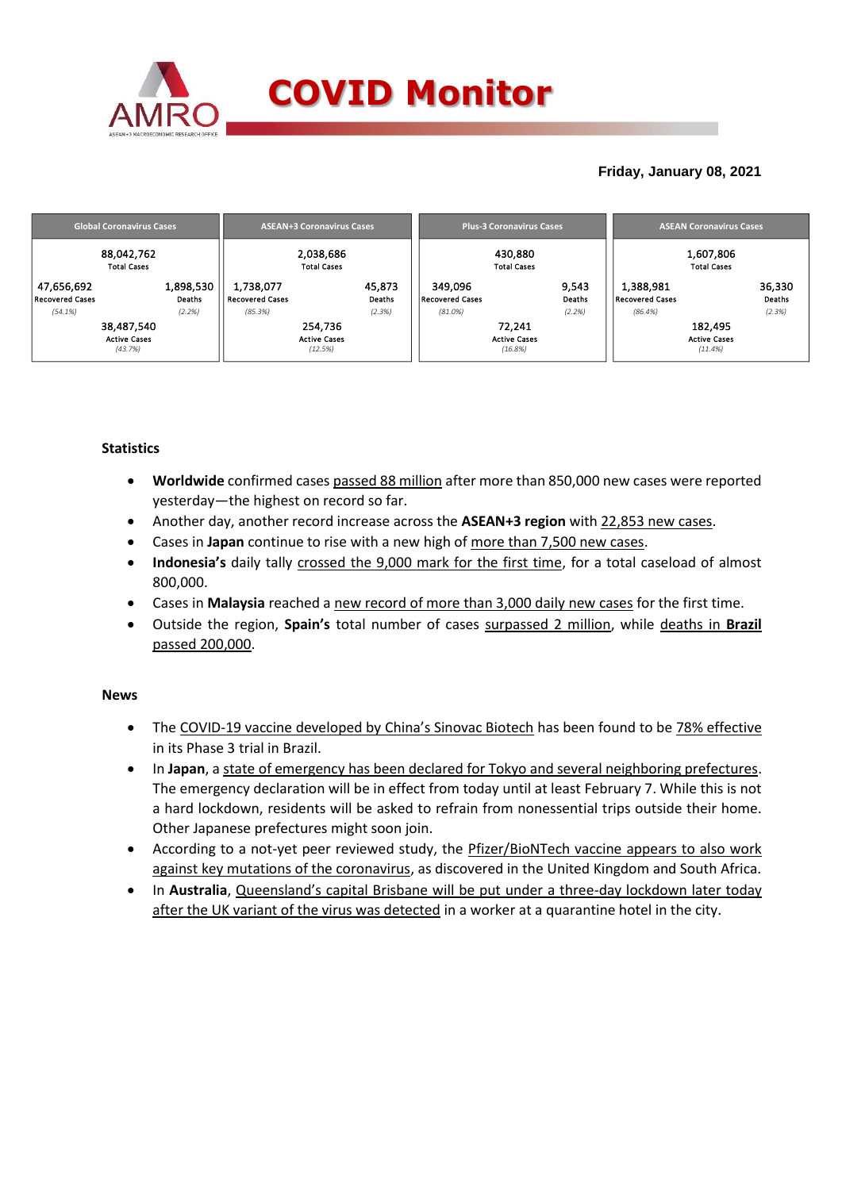

### **Friday, January 08, 2021**

| <b>Global Coronavirus Cases</b> | <b>ASEAN+3 Coronavirus Cases</b> | <b>Plus-3 Coronavirus Cases</b> | <b>ASEAN Coronavirus Cases</b> |  |  |
|---------------------------------|----------------------------------|---------------------------------|--------------------------------|--|--|
| 88,042,762                      | 2,038,686                        | 430,880                         | 1,607,806                      |  |  |
| <b>Total Cases</b>              | <b>Total Cases</b>               | <b>Total Cases</b>              | <b>Total Cases</b>             |  |  |
| 1,898,530                       | 1,738,077                        | 349.096                         | 1,388,981                      |  |  |
| 47,656,692                      | 45,873                           | 9,543                           | 36,330                         |  |  |
| <b>Recovered Cases</b>          | <b>Recovered Cases</b>           | <b>Recovered Cases</b>          | Deaths                         |  |  |
| <b>Deaths</b>                   | Deaths                           | Deaths                          | <b>Recovered Cases</b>         |  |  |
| (54.1%)                         | (2.3%)                           | (2.2%)                          | (2.3%)                         |  |  |
| (2.2%)                          | (85.3%)                          | $(81.0\%)$                      | (86.4%)                        |  |  |
| 38,487,540                      | 254,736                          | 72,241                          | 182,495                        |  |  |
| <b>Active Cases</b>             | <b>Active Cases</b>              | <b>Active Cases</b>             | <b>Active Cases</b>            |  |  |
| (43.7%)                         | (12.5%)                          | (16.8%)                         | (11.4%)                        |  |  |

### **Statistics**

- **Worldwide** confirmed cases passed 88 million after more than 850,000 new cases were reported yesterday—the highest on record so far.
- Another day, another record increase across the **ASEAN+3 region** with 22,853 new cases.
- Cases in **Japan** continue to rise with a new high of more than 7,500 new cases.
- **Indonesia's** daily tally crossed the 9,000 mark for the first time, for a total caseload of almost 800,000.
- Cases in **Malaysia** reached a new record of more than 3,000 daily new cases for the first time.
- Outside the region, **Spain's** total number of cases surpassed 2 million, while deaths in **Brazil** passed 200,000.

### **News**

- The COVID-19 vaccine developed by China's Sinovac Biotech has been found to be 78% effective in its Phase 3 trial in Brazil.
- In **Japan**, a state of emergency has been declared for Tokyo and several neighboring prefectures. The emergency declaration will be in effect from today until at least February 7. While this is not a hard lockdown, residents will be asked to refrain from nonessential trips outside their home. Other Japanese prefectures might soon join.
- According to a not-yet peer reviewed study, the Pfizer/BioNTech vaccine appears to also work against key mutations of the coronavirus, as discovered in the United Kingdom and South Africa.
- In **Australia**, Queensland's capital Brisbane will be put under a three-day lockdown later today after the UK variant of the virus was detected in a worker at a quarantine hotel in the city.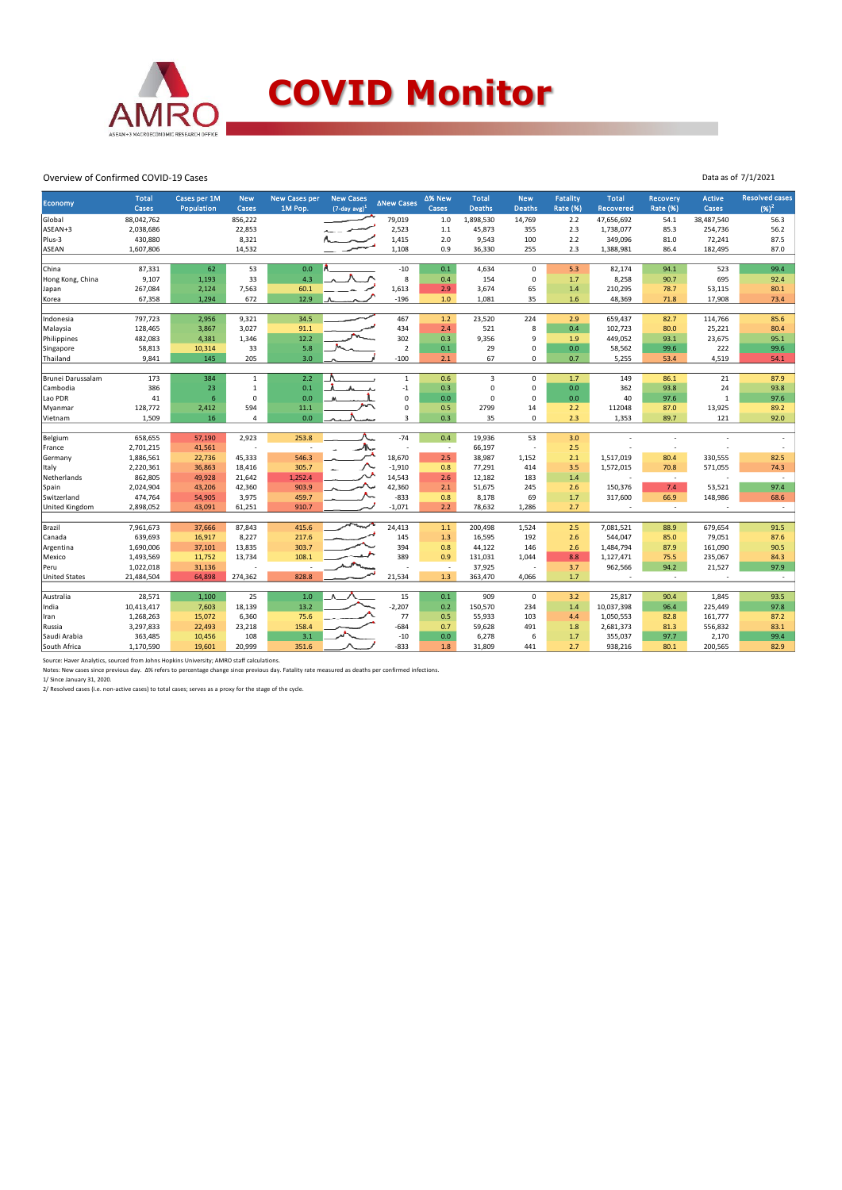

## **COVID Monitor**

Data as of 7/1/2021

#### Overview of Confirmed COVID-19 Cases

| Economy              | <b>Total</b><br>Cases | Cases per 1M<br>Population | <b>New</b><br>Cases | <b>New Cases per</b><br>1M Pop. | <b>New Cases</b><br>$(7$ -day avg) <sup>1</sup> | ∆New Cases          | ∆% New<br>Cases          | <b>Total</b><br><b>Deaths</b> | <b>New</b><br>Deaths | <b>Fatality</b><br><b>Rate (%)</b> | <b>Total</b><br>Recovered | <b>Recovery</b><br><b>Rate (%)</b> | <b>Active</b><br>Cases | <b>Resolved cases</b><br>$(96)^2$ |
|----------------------|-----------------------|----------------------------|---------------------|---------------------------------|-------------------------------------------------|---------------------|--------------------------|-------------------------------|----------------------|------------------------------------|---------------------------|------------------------------------|------------------------|-----------------------------------|
| Global               | 88,042,762            |                            | 856,222             |                                 |                                                 | 79,019              | $1.0$                    | 1,898,530                     | 14,769               | 2.2                                | 47,656,692                | 54.1                               | 38,487,540             | 56.3                              |
| ASEAN+3              | 2,038,686             |                            | 22,853              |                                 |                                                 | 2,523               | $1.1$                    | 45,873                        | 355                  | 2.3                                | 1,738,077                 | 85.3                               | 254,736                | 56.2                              |
| Plus-3               | 430,880               |                            | 8,321               |                                 |                                                 | 1,415               | 2.0                      | 9,543                         | 100                  | 2.2                                | 349,096                   | 81.0                               | 72,241                 | 87.5                              |
| <b>ASEAN</b>         | 1,607,806             |                            | 14,532              |                                 |                                                 | 1,108               | 0.9                      | 36,330                        | 255                  | 2.3                                | 1,388,981                 | 86.4                               | 182,495                | 87.0                              |
|                      |                       |                            |                     |                                 |                                                 |                     |                          |                               |                      |                                    |                           |                                    |                        |                                   |
| China                | 87,331                | 62                         | 53                  | 0.0                             |                                                 | $-10$               | 0.1                      | 4,634                         | $\mathbf 0$          | 5.3                                | 82,174                    | 94.1                               | 523                    | 99.4                              |
| Hong Kong, China     | 9,107                 | 1,193                      | 33                  | 4.3                             |                                                 | 8                   | 0.4                      | 154                           | $\mathbf 0$          | 1.7                                | 8,258                     | 90.7                               | 695                    | 92.4                              |
| Japan                | 267,084               | 2,124                      | 7,563               | 60.1                            |                                                 | 1,613               | 2.9                      | 3,674                         | 65                   | 1.4                                | 210,295                   | 78.7                               | 53,115                 | 80.1                              |
| Korea                | 67,358                | 1,294                      | 672                 | 12.9                            |                                                 | $-196$              | $1.0$                    | 1,081                         | 35                   | 1.6                                | 48,369                    | 71.8                               | 17,908                 | 73.4                              |
|                      |                       |                            |                     |                                 |                                                 |                     |                          |                               |                      |                                    |                           |                                    |                        |                                   |
| Indonesia            | 797,723               | 2,956                      | 9,321               | 34.5                            |                                                 | 467                 | 1.2                      | 23,520                        | 224                  | 2.9                                | 659,437                   | 82.7                               | 114,766                | 85.6                              |
| Malaysia             | 128,465               | 3,867                      | 3,027               | 91.1                            |                                                 | 434                 | 2.4                      | 521                           | 8                    | 0.4                                | 102,723                   | 80.0                               | 25,221                 | 80.4                              |
| Philippines          | 482,083               | 4,381                      | 1,346               | 12.2                            |                                                 | 302                 | 0.3                      | 9,356                         | 9                    | 1.9                                | 449,052                   | 93.1                               | 23,675                 | 95.1                              |
| Singapore            | 58,813                | 10,314                     | 33                  | 5.8                             |                                                 | $\overline{2}$      | 0.1                      | 29                            | $\mathbf 0$          | 0.0                                | 58,562                    | 99.6                               | 222                    | 99.6                              |
| Thailand             | 9,841                 | 145                        | 205                 | 3.0                             |                                                 | $-100$              | 2.1                      | 67                            | $\mathbf 0$          | 0.7                                | 5,255                     | 53.4                               | 4,519                  | 54.1                              |
|                      |                       |                            |                     |                                 |                                                 |                     |                          |                               |                      |                                    |                           |                                    |                        |                                   |
| Brunei Darussalam    | 173                   | 384                        | $\mathbf{1}$        | 2.2                             |                                                 | $1\,$               | 0.6                      | 3                             | $\Omega$             | 1.7                                | 149                       | 86.1                               | 21                     | 87.9                              |
| Cambodia             | 386                   | 23                         | $\mathbf{1}$        | 0.1                             |                                                 | $-1$                | 0.3                      | 0                             | $\mathbf 0$          | 0.0                                | 362                       | 93.8                               | 24                     | 93.8                              |
| Lao PDR              | 41                    | $6\phantom{1}6$            | $\mathbf 0$         | 0.0                             |                                                 | $\mathbf 0$         | 0.0                      | 0                             | $\mathbf 0$          | 0.0                                | 40                        | 97.6                               | $\mathbf{1}$           | 97.6                              |
| Myanmar              | 128,772               | 2,412                      | 594                 | 11.1                            |                                                 | $\mathsf{O}\xspace$ | 0.5                      | 2799                          | 14                   | 2.2                                | 112048                    | 87.0                               | 13,925                 | 89.2                              |
| Vietnam              | 1,509                 | 16                         | 4                   | 0.0                             |                                                 | 3                   | 0.3                      | 35                            | $\mathbf 0$          | 2.3                                | 1,353                     | 89.7                               | 121                    | 92.0                              |
| Belgium              | 658,655               | 57,190                     | 2,923               | 253.8                           |                                                 | $-74$               | 0.4                      | 19,936                        | 53                   | 3.0                                |                           |                                    |                        |                                   |
| France               | 2,701,215             | 41,561                     | ÷                   |                                 | ᠰ୷                                              |                     | $\sim$                   | 66,197                        | ÷,                   | 2.5                                |                           |                                    |                        |                                   |
| Germany              | 1,886,561             | 22,736                     | 45,333              | 546.3                           |                                                 | 18,670              | 2.5                      | 38,987                        | 1,152                | 2.1                                | 1,517,019                 | 80.4                               | 330,555                | 82.5                              |
| Italy                | 2,220,361             | 36,863                     | 18,416              | 305.7                           |                                                 | $-1,910$            | 0.8                      | 77,291                        | 414                  | 3.5                                | 1,572,015                 | 70.8                               | 571,055                | 74.3                              |
| Netherlands          | 862,805               | 49,928                     | 21,642              | 1,252.4                         | ᄽ                                               | 14,543              | 2.6                      | 12,182                        | 183                  | 1.4                                |                           | $\sim$                             |                        |                                   |
| Spain                | 2,024,904             | 43,206                     | 42,360              | 903.9                           |                                                 | 42,360              | 2.1                      | 51,675                        | 245                  | 2.6                                | 150,376                   | 7.4                                | 53,521                 | 97.4                              |
| Switzerland          | 474,764               | 54,905                     | 3,975               | 459.7                           |                                                 | $-833$              | 0.8                      | 8,178                         | 69                   | 1.7                                | 317,600                   | 66.9                               | 148,986                | 68.6                              |
| United Kingdom       | 2,898,052             | 43,091                     | 61,251              | 910.7                           |                                                 | $-1,071$            | 2.2                      | 78,632                        | 1,286                | 2.7                                | ÷                         | $\sim$                             |                        | $\overline{\phantom{a}}$          |
|                      |                       |                            |                     |                                 |                                                 |                     |                          |                               |                      |                                    |                           |                                    |                        |                                   |
| Brazil               | 7,961,673             | 37,666                     | 87,843              | 415.6                           | <b>Transfer</b>                                 | 24,413              | 1.1                      | 200,498                       | 1,524                | 2.5                                | 7,081,521                 | 88.9                               | 679,654                | 91.5                              |
| Canada               | 639,693               | 16,917                     | 8,227               | 217.6                           |                                                 | 145                 | 1.3                      | 16,595                        | 192                  | 2.6                                | 544,047                   | 85.0                               | 79,051                 | 87.6                              |
| Argentina            | 1,690,006             | 37,101                     | 13,835              | 303.7                           |                                                 | 394                 | 0.8                      | 44,122                        | 146                  | 2.6                                | 1,484,794                 | 87.9                               | 161,090                | 90.5                              |
| Mexico               | 1,493,569             | 11,752                     | 13,734              | 108.1                           |                                                 | 389                 | 0.9                      | 131,031                       | 1,044                | 8.8                                | 1,127,471                 | 75.5                               | 235,067                | 84.3                              |
| Peru                 | 1,022,018             | 31,136                     |                     |                                 |                                                 |                     | $\overline{\phantom{a}}$ | 37,925                        |                      | 3.7                                | 962,566                   | 94.2                               | 21,527                 | 97.9                              |
| <b>United States</b> | 21,484,504            | 64,898                     | 274,362             | 828.8                           |                                                 | 21,534              | 1.3                      | 363,470                       | 4,066                | 1.7                                | ÷                         | $\sim$                             |                        | $\sim$                            |
|                      |                       |                            |                     |                                 |                                                 |                     |                          |                               |                      |                                    |                           |                                    |                        |                                   |
| Australia            | 28,571                | 1,100                      | 25                  | $1.0$                           |                                                 | 15                  | 0.1                      | 909                           | $\mathbf 0$          | 3.2                                | 25,817                    | 90.4                               | 1,845                  | 93.5                              |
| India                | 10,413,417            | 7,603                      | 18,139              | 13.2                            |                                                 | $-2,207$            | 0.2                      | 150,570                       | 234                  | 1.4                                | 10,037,398                | 96.4                               | 225,449                | 97.8                              |
| Iran                 | 1,268,263             | 15,072                     | 6,360               | 75.6                            |                                                 | 77                  | 0.5                      | 55,933                        | 103                  | 4.4                                | 1,050,553                 | 82.8                               | 161,777                | 87.2                              |
| Russia               | 3,297,833             | 22,493                     | 23,218              | 158.4                           |                                                 | $-684$              | 0.7                      | 59,628                        | 491                  | 1.8                                | 2,681,373                 | 81.3                               | 556,832                | 83.1                              |
| Saudi Arabia         | 363,485               | 10,456                     | 108                 | 3.1                             |                                                 | $-10$               | 0.0                      | 6,278                         | 6                    | 1.7                                | 355,037                   | 97.7                               | 2,170                  | 99.4                              |
| South Africa         | 1,170,590             | 19,601                     | 20,999              | 351.6                           |                                                 | $-833$              | 1.8                      | 31,809                        | 441                  | 2.7                                | 938,216                   | 80.1                               | 200,565                | 82.9                              |

Source: Haver Analytics, sourced from Johns Hopkins University; AMRO staff calculations.<br>Notes: New cases since previous day. Δ% refers to percentage change since previous day. Fatality rate measured as deaths per confirm